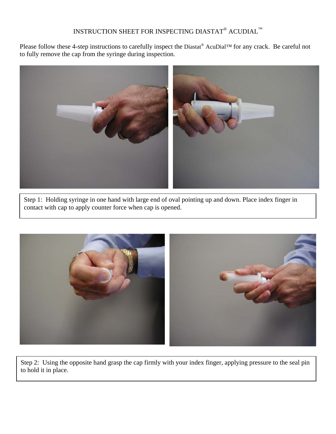## INSTRUCTION SHEET FOR INSPECTING DIASTAT® ACUDIAL  $^{\text{\tiny{\textsf{TM}}}}$

Please follow these 4-step instructions to carefully inspect the Diastat<sup>®</sup> AcuDial™ for any crack. Be careful not to fully remove the cap from the syringe during inspection.



Step 1: Holding syringe in one hand with large end of oval pointing up and down. Place index finger in contact with cap to apply counter force when cap is opened.



Step 2: Using the opposite hand grasp the cap firmly with your index finger, applying pressure to the seal pin to hold it in place.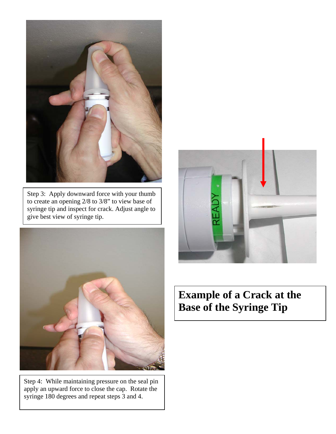

Step 3: Apply downward force with your thumb to create an opening 2/8 to 3/8" to view base of syringe tip and inspect for crack. Adjust angle to give best view of syringe tip.



Step 4: While maintaining pressure on the seal pin apply an upward force to close the cap. Rotate the syringe 180 degrees and repeat steps 3 and 4.



## **Example of a Crack at the Base of the Syringe Tip**